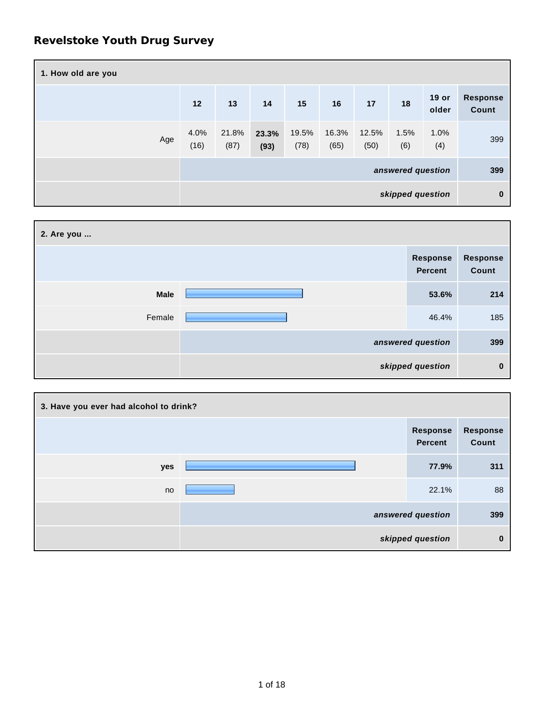## **Revelstoke Youth Drug Survey**

| 1. How old are you |                   |               |               |               |               |               |             |                  |                          |
|--------------------|-------------------|---------------|---------------|---------------|---------------|---------------|-------------|------------------|--------------------------|
|                    | 12                | 13            | 14            | 15            | 16            | 17            | 18          | $19$ or<br>older | <b>Response</b><br>Count |
| Age                | 4.0%<br>(16)      | 21.8%<br>(87) | 23.3%<br>(93) | 19.5%<br>(78) | 16.3%<br>(65) | 12.5%<br>(50) | 1.5%<br>(6) | 1.0%<br>(4)      | 399                      |
|                    | answered question |               |               |               |               | 399           |             |                  |                          |
| skipped question   |                   |               |               | $\bf{0}$      |               |               |             |                  |                          |

| 2. Are you  |                            |                          |
|-------------|----------------------------|--------------------------|
|             | Response<br><b>Percent</b> | <b>Response</b><br>Count |
| <b>Male</b> | 53.6%                      | 214                      |
| Female      | 46.4%                      | 185                      |
|             | answered question          | 399                      |
|             | skipped question           | 0                        |

| 3. Have you ever had alcohol to drink? |                                   |                   |
|----------------------------------------|-----------------------------------|-------------------|
|                                        | <b>Response</b><br><b>Percent</b> | Response<br>Count |
| yes                                    | 77.9%                             | 311               |
| no                                     | 22.1%                             | 88                |
|                                        | answered question                 | 399               |
|                                        | skipped question                  | 0                 |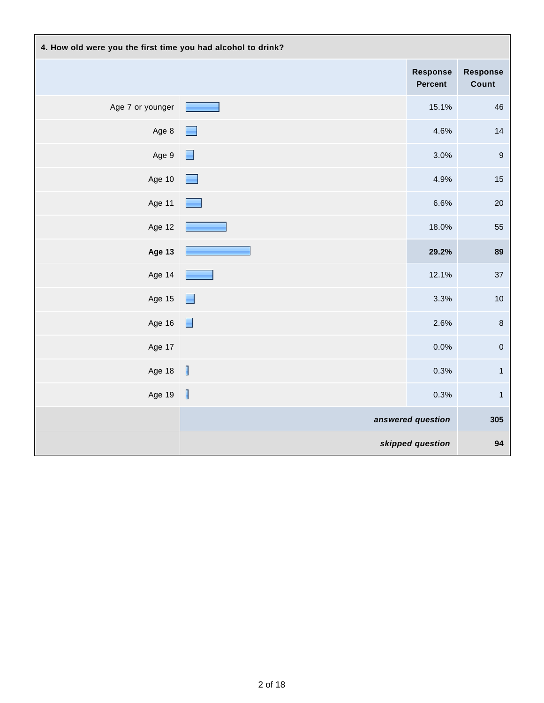| 4. How old were you the first time you had alcohol to drink? |                          |                                   |                          |  |
|--------------------------------------------------------------|--------------------------|-----------------------------------|--------------------------|--|
|                                                              |                          | <b>Response</b><br><b>Percent</b> | <b>Response</b><br>Count |  |
| Age 7 or younger                                             | <b>STATISTICS</b>        | 15.1%                             | 46                       |  |
| Age 8                                                        |                          | 4.6%                              | 14                       |  |
| Age 9                                                        | Н                        | 3.0%                              | $\boldsymbol{9}$         |  |
| Age 10                                                       |                          | 4.9%                              | 15                       |  |
| Age 11                                                       |                          | 6.6%                              | $20\,$                   |  |
| Age 12                                                       |                          | 18.0%                             | 55                       |  |
| <b>Age 13</b>                                                |                          | 29.2%                             | 89                       |  |
| Age 14                                                       |                          | 12.1%                             | 37                       |  |
| Age 15                                                       | E                        | 3.3%                              | $10$                     |  |
| Age 16                                                       | $\blacksquare$           | 2.6%                              | $\,$ 8 $\,$              |  |
| Age 17                                                       |                          | 0.0%                              | $\mathbf 0$              |  |
| Age 18                                                       | $\overline{\phantom{a}}$ | 0.3%                              | $\mathbf{1}$             |  |
| Age 19                                                       | $\overline{\mathbf{r}}$  | 0.3%                              | $\mathbf{1}$             |  |
|                                                              |                          | answered question                 | 305                      |  |
|                                                              |                          | skipped question                  | 94                       |  |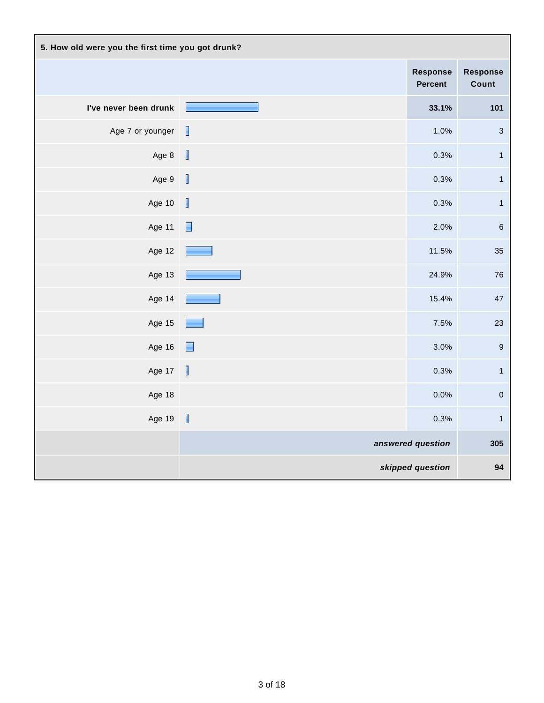| 5. How old were you the first time you got drunk? |                          |                                   |                           |
|---------------------------------------------------|--------------------------|-----------------------------------|---------------------------|
|                                                   |                          | <b>Response</b><br><b>Percent</b> | <b>Response</b><br>Count  |
| I've never been drunk                             |                          | 33.1%                             | 101                       |
| Age 7 or younger                                  | $\mathbb{R}$             | 1.0%                              | $\ensuremath{\mathsf{3}}$ |
| Age 8                                             | $\overline{\phantom{a}}$ | 0.3%                              | $\mathbf{1}$              |
| Age 9                                             | $\overline{\phantom{a}}$ | 0.3%                              | $\mathbf{1}$              |
| Age 10                                            | $\overline{\mathbb{I}}$  | 0.3%                              | $\mathbf 1$               |
| Age 11                                            | $\blacksquare$           | 2.0%                              | $\,6\,$                   |
| Age 12                                            |                          | 11.5%                             | 35                        |
| Age 13                                            |                          | 24.9%                             | 76                        |
| Age 14                                            |                          | 15.4%                             | 47                        |
| Age 15                                            |                          | 7.5%                              | 23                        |
| Age 16                                            | $\Box$                   | 3.0%                              | $\boldsymbol{9}$          |
| Age 17                                            | $\mathbf{I}$             | 0.3%                              | $\mathbf{1}$              |
| Age 18                                            |                          | 0.0%                              | $\mathbf 0$               |
| Age 19                                            | $\overline{\mathbf{I}}$  | 0.3%                              | $\mathbf{1}$              |
|                                                   |                          | answered question                 | 305                       |
|                                                   |                          | skipped question                  | 94                        |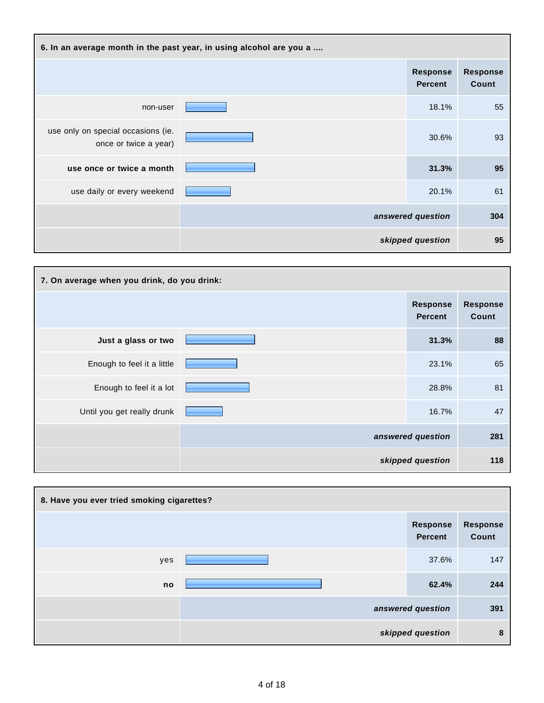| 6. In an average month in the past year, in using alcohol are you a |  |                                   |                          |
|---------------------------------------------------------------------|--|-----------------------------------|--------------------------|
|                                                                     |  | <b>Response</b><br><b>Percent</b> | <b>Response</b><br>Count |
| non-user                                                            |  | 18.1%                             | 55                       |
| use only on special occasions (ie.<br>once or twice a year)         |  | 30.6%                             | 93                       |
| use once or twice a month                                           |  | 31.3%                             | 95                       |
| use daily or every weekend                                          |  | 20.1%                             | 61                       |
|                                                                     |  | answered question                 | 304                      |
|                                                                     |  | skipped question                  | 95                       |

| 7. On average when you drink, do you drink: |  |                                   |                          |  |
|---------------------------------------------|--|-----------------------------------|--------------------------|--|
|                                             |  | <b>Response</b><br><b>Percent</b> | <b>Response</b><br>Count |  |
| Just a glass or two                         |  | 31.3%                             | 88                       |  |
| Enough to feel it a little                  |  | 23.1%                             | 65                       |  |
| Enough to feel it a lot                     |  | 28.8%                             | 81                       |  |
| Until you get really drunk                  |  | 16.7%                             | 47                       |  |
|                                             |  | answered question                 | 281                      |  |
|                                             |  | skipped question                  | 118                      |  |

| 8. Have you ever tried smoking cigarettes? |  |                                   |                          |  |
|--------------------------------------------|--|-----------------------------------|--------------------------|--|
|                                            |  | <b>Response</b><br><b>Percent</b> | <b>Response</b><br>Count |  |
| yes                                        |  | 37.6%                             | 147                      |  |
| no                                         |  | 62.4%                             | 244                      |  |
|                                            |  | answered question                 | 391                      |  |
|                                            |  | skipped question                  | 8                        |  |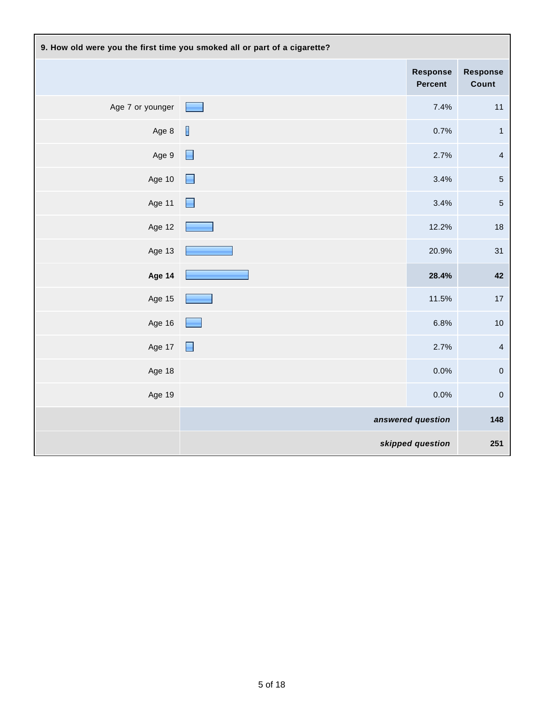| 9. How old were you the first time you smoked all or part of a cigarette? |                          |                                   |                          |  |
|---------------------------------------------------------------------------|--------------------------|-----------------------------------|--------------------------|--|
|                                                                           |                          | <b>Response</b><br><b>Percent</b> | <b>Response</b><br>Count |  |
| Age 7 or younger                                                          | <b>Contract</b>          | 7.4%                              | 11                       |  |
| Age 8                                                                     | $\overline{\phantom{a}}$ | 0.7%                              | $\mathbf{1}$             |  |
| Age 9                                                                     | $\Box$                   | 2.7%                              | $\overline{\mathbf{4}}$  |  |
| Age 10                                                                    | Н                        | 3.4%                              | $\mathbf 5$              |  |
| Age 11                                                                    | E                        | 3.4%                              | $\sqrt{5}$               |  |
| Age 12                                                                    |                          | 12.2%                             | $18$                     |  |
| Age 13                                                                    |                          | 20.9%                             | 31                       |  |
| Age 14                                                                    |                          | 28.4%                             | 42                       |  |
| Age 15                                                                    |                          | 11.5%                             | 17                       |  |
| Age 16                                                                    |                          | 6.8%                              | $10$                     |  |
| Age 17                                                                    | $\Box$                   | 2.7%                              | $\overline{4}$           |  |
| Age 18                                                                    |                          | 0.0%                              | $\pmb{0}$                |  |
| Age 19                                                                    |                          | 0.0%                              | $\mathbf 0$              |  |
|                                                                           | answered question        |                                   | 148                      |  |
|                                                                           |                          | skipped question                  | 251                      |  |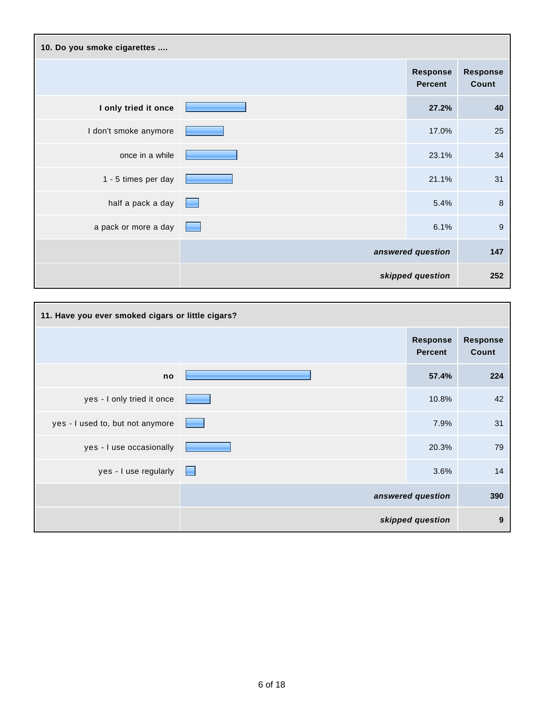| 10. Do you smoke cigarettes |  |                                   |                          |  |
|-----------------------------|--|-----------------------------------|--------------------------|--|
|                             |  | <b>Response</b><br><b>Percent</b> | <b>Response</b><br>Count |  |
| I only tried it once        |  | 27.2%                             | 40                       |  |
| I don't smoke anymore       |  | 17.0%                             | 25                       |  |
| once in a while             |  | 23.1%                             | 34                       |  |
| 1 - 5 times per day         |  | 21.1%                             | 31                       |  |
| half a pack a day           |  | 5.4%                              | 8                        |  |
| a pack or more a day        |  | 6.1%                              | 9                        |  |
|                             |  | answered question                 | 147                      |  |
|                             |  | skipped question                  | 252                      |  |

| 11. Have you ever smoked cigars or little cigars? |                                   |                                   |                          |
|---------------------------------------------------|-----------------------------------|-----------------------------------|--------------------------|
|                                                   |                                   | <b>Response</b><br><b>Percent</b> | <b>Response</b><br>Count |
| no                                                |                                   | 57.4%                             | 224                      |
| yes - I only tried it once                        |                                   | 10.8%                             | 42                       |
| yes - I used to, but not anymore                  | <b>Contract Contract Contract</b> | 7.9%                              | 31                       |
| yes - I use occasionally                          |                                   | 20.3%                             | 79                       |
| $yes - l$ use regularly                           |                                   | 3.6%                              | 14                       |
|                                                   |                                   | answered question                 | 390                      |
|                                                   |                                   | skipped question                  | 9                        |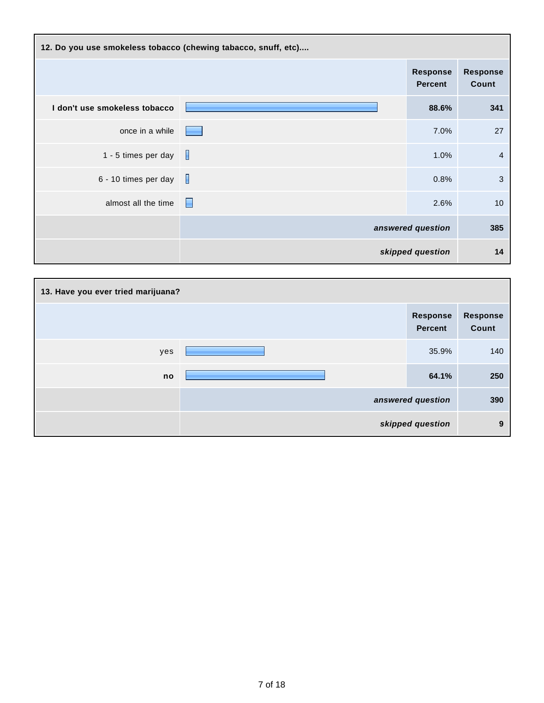| 12. Do you use smokeless tobacco (chewing tabacco, snuff, etc) |   |                                   |                          |  |
|----------------------------------------------------------------|---|-----------------------------------|--------------------------|--|
|                                                                |   | <b>Response</b><br><b>Percent</b> | <b>Response</b><br>Count |  |
| I don't use smokeless tobacco                                  |   | 88.6%                             | 341                      |  |
| once in a while                                                |   | 7.0%                              | 27                       |  |
| 1 - 5 times per day                                            |   | 1.0%                              | 4                        |  |
| 6 - 10 times per day                                           |   | 0.8%                              | 3                        |  |
| almost all the time                                            | н | 2.6%                              | 10                       |  |
|                                                                |   | answered question                 | 385                      |  |
|                                                                |   | skipped question                  | 14                       |  |

| 13. Have you ever tried marijuana? |  |                                   |                          |  |
|------------------------------------|--|-----------------------------------|--------------------------|--|
|                                    |  | <b>Response</b><br><b>Percent</b> | <b>Response</b><br>Count |  |
| yes                                |  | 35.9%                             | 140                      |  |
| no                                 |  | 64.1%                             | 250                      |  |
|                                    |  | answered question                 | 390                      |  |
|                                    |  | skipped question                  | 9                        |  |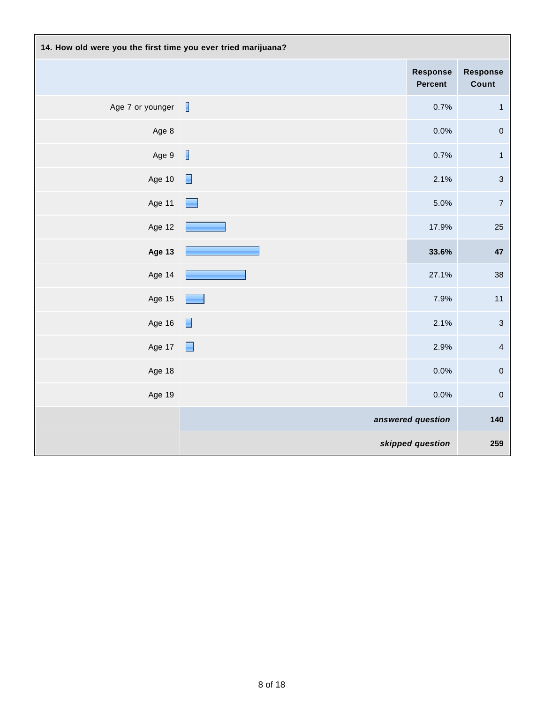| 14. How old were you the first time you ever tried marijuana? |                |                            |                           |
|---------------------------------------------------------------|----------------|----------------------------|---------------------------|
|                                                               |                | <b>Response</b><br>Percent | Response<br>Count         |
| Age 7 or younger                                              |                | 0.7%                       | $\mathbf{1}$              |
| Age 8                                                         |                | 0.0%                       | $\mathbf 0$               |
| Age 9                                                         | $\blacksquare$ | 0.7%                       | $\mathbf{1}$              |
| Age 10                                                        | $\Box$         | 2.1%                       | $\ensuremath{\mathsf{3}}$ |
| Age 11                                                        |                | 5.0%                       | $\boldsymbol{7}$          |
| Age 12                                                        |                | 17.9%                      | 25                        |
| <b>Age 13</b>                                                 |                | 33.6%                      | 47                        |
| Age 14                                                        |                | 27.1%                      | 38                        |
| Age 15                                                        |                | 7.9%                       | 11                        |
| Age 16                                                        | $\blacksquare$ | 2.1%                       | $\ensuremath{\mathsf{3}}$ |
| Age 17                                                        | $\blacksquare$ | 2.9%                       | $\overline{4}$            |
| Age 18                                                        |                | 0.0%                       | $\pmb{0}$                 |
| Age 19                                                        |                | 0.0%                       | $\mathbf 0$               |
|                                                               |                | answered question          | 140                       |
|                                                               |                | skipped question           | 259                       |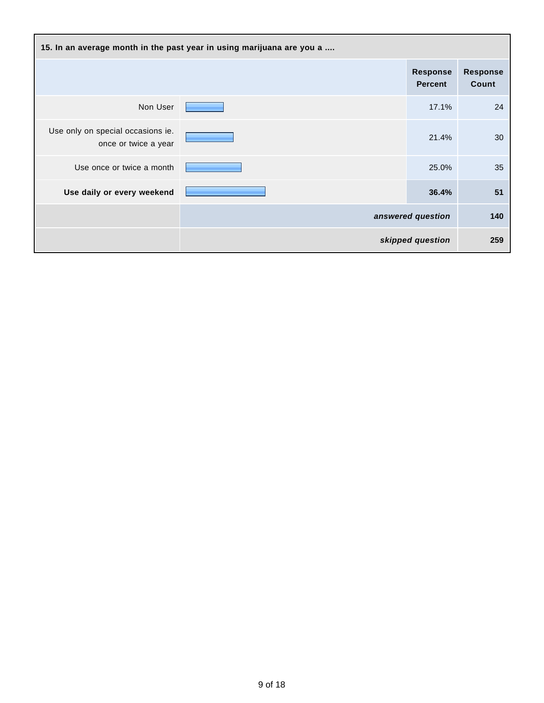| 15. In an average month in the past year in using marijuana are you a |  |                                   |                          |
|-----------------------------------------------------------------------|--|-----------------------------------|--------------------------|
|                                                                       |  | <b>Response</b><br><b>Percent</b> | <b>Response</b><br>Count |
| Non User                                                              |  | 17.1%                             | 24                       |
| Use only on special occasions ie.<br>once or twice a year             |  | 21.4%                             | 30                       |
| Use once or twice a month                                             |  | 25.0%                             | 35                       |
| Use daily or every weekend                                            |  | 36.4%                             | 51                       |
|                                                                       |  | answered question                 | 140                      |
|                                                                       |  | skipped question                  | 259                      |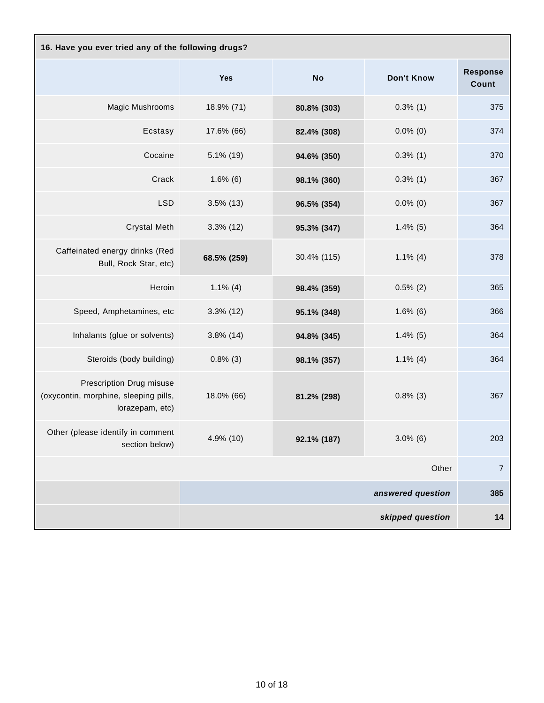| 16. Have you ever tried any of the following drugs?                                  |              |             |                   |                          |
|--------------------------------------------------------------------------------------|--------------|-------------|-------------------|--------------------------|
|                                                                                      | <b>Yes</b>   | <b>No</b>   | Don't Know        | <b>Response</b><br>Count |
| Magic Mushrooms                                                                      | 18.9% (71)   | 80.8% (303) | $0.3\%$ (1)       | 375                      |
| Ecstasy                                                                              | 17.6% (66)   | 82.4% (308) | $0.0\%$ (0)       | 374                      |
| Cocaine                                                                              | 5.1% (19)    | 94.6% (350) | $0.3\%$ (1)       | 370                      |
| Crack                                                                                | $1.6\%$ (6)  | 98.1% (360) | $0.3\%$ (1)       | 367                      |
| <b>LSD</b>                                                                           | $3.5\%$ (13) | 96.5% (354) | $0.0\%$ (0)       | 367                      |
| <b>Crystal Meth</b>                                                                  | $3.3\%$ (12) | 95.3% (347) | $1.4\%$ (5)       | 364                      |
| Caffeinated energy drinks (Red<br>Bull, Rock Star, etc)                              | 68.5% (259)  | 30.4% (115) | $1.1\%$ (4)       | 378                      |
| Heroin                                                                               | $1.1\%$ (4)  | 98.4% (359) | $0.5\%$ (2)       | 365                      |
| Speed, Amphetamines, etc                                                             | $3.3\%$ (12) | 95.1% (348) | $1.6\%$ (6)       | 366                      |
| Inhalants (glue or solvents)                                                         | $3.8\%$ (14) | 94.8% (345) | $1.4\%$ (5)       | 364                      |
| Steroids (body building)                                                             | $0.8\%$ (3)  | 98.1% (357) | $1.1\%$ (4)       | 364                      |
| Prescription Drug misuse<br>(oxycontin, morphine, sleeping pills,<br>lorazepam, etc) | 18.0% (66)   | 81.2% (298) | $0.8\%$ (3)       | 367                      |
| Other (please identify in comment<br>section below)                                  | 4.9% (10)    | 92.1% (187) | $3.0\%$ (6)       | 203                      |
|                                                                                      |              |             | Other             | $\overline{7}$           |
|                                                                                      |              |             | answered question | 385                      |
|                                                                                      |              |             | skipped question  | 14                       |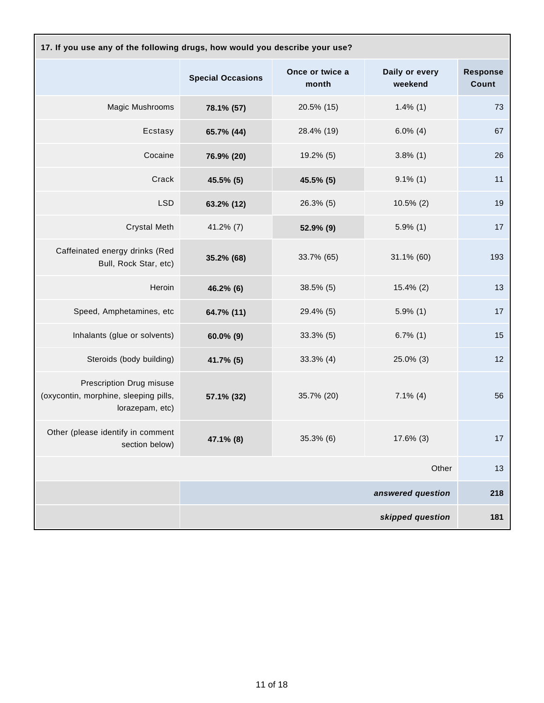| 17. If you use any of the following drugs, how would you describe your use?          |                          |                          |                           |                          |  |
|--------------------------------------------------------------------------------------|--------------------------|--------------------------|---------------------------|--------------------------|--|
|                                                                                      | <b>Special Occasions</b> | Once or twice a<br>month | Daily or every<br>weekend | <b>Response</b><br>Count |  |
| Magic Mushrooms                                                                      | 78.1% (57)               | 20.5% (15)               | $1.4\%$ (1)               | 73                       |  |
| Ecstasy                                                                              | 65.7% (44)               | 28.4% (19)               | $6.0\%$ (4)               | 67                       |  |
| Cocaine                                                                              | 76.9% (20)               | 19.2% (5)                | $3.8\%$ (1)               | 26                       |  |
| Crack                                                                                | 45.5% (5)                | 45.5% (5)                | $9.1\%$ (1)               | 11                       |  |
| <b>LSD</b>                                                                           | 63.2% (12)               | 26.3% (5)                | $10.5\%$ (2)              | 19                       |  |
| <b>Crystal Meth</b>                                                                  | $41.2\%$ (7)             | 52.9% (9)                | $5.9\%$ (1)               | 17                       |  |
| Caffeinated energy drinks (Red<br>Bull, Rock Star, etc)                              | 35.2% (68)               | 33.7% (65)               | 31.1% (60)                | 193                      |  |
| Heroin                                                                               | 46.2% (6)                | 38.5% (5)                | 15.4% (2)                 | 13                       |  |
| Speed, Amphetamines, etc                                                             | 64.7% (11)               | 29.4% (5)                | $5.9\%$ (1)               | 17                       |  |
| Inhalants (glue or solvents)                                                         | $60.0\%$ (9)             | $33.3\%$ (5)             | $6.7\%$ (1)               | 15                       |  |
| Steroids (body building)                                                             | 41.7% (5)                | $33.3\%$ (4)             | 25.0% (3)                 | 12                       |  |
| Prescription Drug misuse<br>(oxycontin, morphine, sleeping pills,<br>lorazepam, etc) | 57.1% (32)               | 35.7% (20)               | $7.1\%$ (4)               | 56                       |  |
| Other (please identify in comment<br>section below)                                  | 47.1% (8)                | 35.3% (6)                | 17.6% (3)                 | 17                       |  |
|                                                                                      |                          |                          | Other                     | 13                       |  |
|                                                                                      |                          |                          | answered question         | 218                      |  |
|                                                                                      |                          |                          | skipped question          | 181                      |  |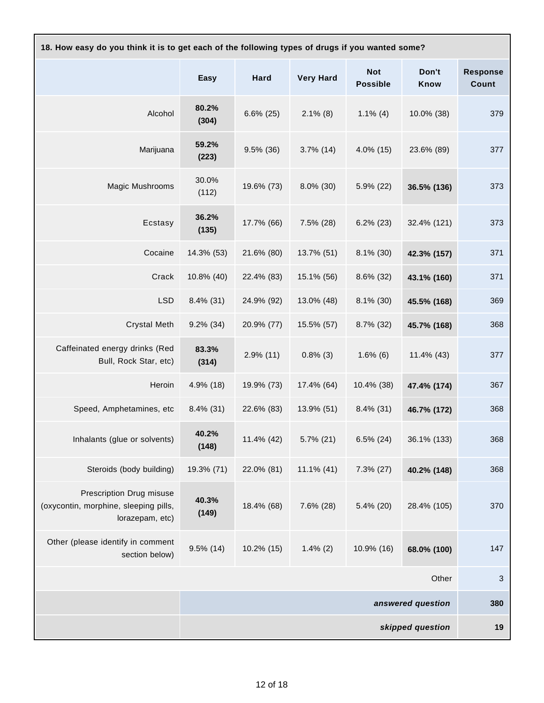| 18. How easy do you think it is to get each of the following types of drugs if you wanted some? |                |              |                  |                               |                   |                                 |
|-------------------------------------------------------------------------------------------------|----------------|--------------|------------------|-------------------------------|-------------------|---------------------------------|
|                                                                                                 | Easy           | <b>Hard</b>  | <b>Very Hard</b> | <b>Not</b><br><b>Possible</b> | Don't<br>Know     | <b>Response</b><br><b>Count</b> |
| Alcohol                                                                                         | 80.2%<br>(304) | $6.6\%$ (25) | $2.1\%$ (8)      | $1.1\%$ (4)                   | 10.0% (38)        | 379                             |
| Marijuana                                                                                       | 59.2%<br>(223) | $9.5\%$ (36) | $3.7\%$ (14)     | $4.0\%$ (15)                  | 23.6% (89)        | 377                             |
| Magic Mushrooms                                                                                 | 30.0%<br>(112) | 19.6% (73)   | $8.0\%$ (30)     | 5.9% (22)                     | 36.5% (136)       | 373                             |
| Ecstasy                                                                                         | 36.2%<br>(135) | 17.7% (66)   | $7.5\%$ (28)     | $6.2\%$ (23)                  | 32.4% (121)       | 373                             |
| Cocaine                                                                                         | 14.3% (53)     | 21.6% (80)   | 13.7% (51)       | 8.1% (30)                     | 42.3% (157)       | 371                             |
| Crack                                                                                           | 10.8% (40)     | 22.4% (83)   | 15.1% (56)       | $8.6\%$ (32)                  | 43.1% (160)       | 371                             |
| <b>LSD</b>                                                                                      | $8.4\%$ (31)   | 24.9% (92)   | 13.0% (48)       | 8.1% (30)                     | 45.5% (168)       | 369                             |
| <b>Crystal Meth</b>                                                                             | $9.2\%$ (34)   | 20.9% (77)   | 15.5% (57)       | 8.7% (32)                     | 45.7% (168)       | 368                             |
| Caffeinated energy drinks (Red<br>Bull, Rock Star, etc)                                         | 83.3%<br>(314) | $2.9\%$ (11) | $0.8\%$ (3)      | $1.6\%$ (6)                   | 11.4% (43)        | 377                             |
| Heroin                                                                                          | 4.9% (18)      | 19.9% (73)   | 17.4% (64)       | 10.4% (38)                    | 47.4% (174)       | 367                             |
| Speed, Amphetamines, etc                                                                        | $8.4\%$ (31)   | 22.6% (83)   | 13.9% (51)       | $8.4\%$ (31)                  | 46.7% (172)       | 368                             |
| Inhalants (glue or solvents)                                                                    | 40.2%<br>(148) | 11.4% (42)   | 5.7% (21)        | $6.5\%$ (24)                  | 36.1% (133)       | 368                             |
| Steroids (body building)                                                                        | 19.3% (71)     | 22.0% (81)   | 11.1% (41)       | $7.3\%$ (27)                  | 40.2% (148)       | 368                             |
| <b>Prescription Drug misuse</b><br>(oxycontin, morphine, sleeping pills,<br>lorazepam, etc)     | 40.3%<br>(149) | 18.4% (68)   | $7.6\%$ (28)     | 5.4% (20)                     | 28.4% (105)       | 370                             |
| Other (please identify in comment<br>section below)                                             | $9.5\%$ (14)   | 10.2% (15)   | $1.4\%$ (2)      | 10.9% (16)                    | 68.0% (100)       | 147                             |
|                                                                                                 |                |              |                  |                               | Other             | $\sqrt{3}$                      |
|                                                                                                 |                |              |                  |                               | answered question | 380                             |
| skipped question                                                                                |                |              |                  | 19                            |                   |                                 |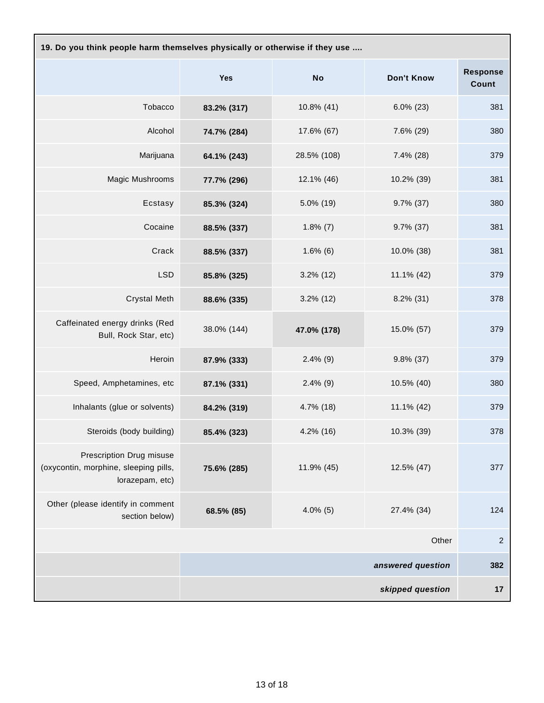| 19. Do you think people harm themselves physically or otherwise if they use          |             |              |                   |                          |  |
|--------------------------------------------------------------------------------------|-------------|--------------|-------------------|--------------------------|--|
|                                                                                      | <b>Yes</b>  | <b>No</b>    | <b>Don't Know</b> | <b>Response</b><br>Count |  |
| Tobacco                                                                              | 83.2% (317) | 10.8% (41)   | $6.0\%$ (23)      | 381                      |  |
| Alcohol                                                                              | 74.7% (284) | 17.6% (67)   | 7.6% (29)         | 380                      |  |
| Marijuana                                                                            | 64.1% (243) | 28.5% (108)  | $7.4\%$ (28)      | 379                      |  |
| Magic Mushrooms                                                                      | 77.7% (296) | 12.1% (46)   | 10.2% (39)        | 381                      |  |
| Ecstasy                                                                              | 85.3% (324) | 5.0% (19)    | $9.7\%$ (37)      | 380                      |  |
| Cocaine                                                                              | 88.5% (337) | $1.8\%$ (7)  | $9.7\%$ (37)      | 381                      |  |
| Crack                                                                                | 88.5% (337) | $1.6\%$ (6)  | 10.0% (38)        | 381                      |  |
| <b>LSD</b>                                                                           | 85.8% (325) | $3.2\%$ (12) | 11.1% (42)        | 379                      |  |
| <b>Crystal Meth</b>                                                                  | 88.6% (335) | $3.2\%$ (12) | $8.2\%$ (31)      | 378                      |  |
| Caffeinated energy drinks (Red<br>Bull, Rock Star, etc)                              | 38.0% (144) | 47.0% (178)  | 15.0% (57)        | 379                      |  |
| Heroin                                                                               | 87.9% (333) | $2.4\%$ (9)  | $9.8\%$ (37)      | 379                      |  |
| Speed, Amphetamines, etc                                                             | 87.1% (331) | $2.4\%$ (9)  | 10.5% (40)        | 380                      |  |
| Inhalants (glue or solvents)                                                         | 84.2% (319) | 4.7% (18)    | 11.1% (42)        | 379                      |  |
| Steroids (body building)                                                             | 85.4% (323) | 4.2% (16)    | 10.3% (39)        | 378                      |  |
| Prescription Drug misuse<br>(oxycontin, morphine, sleeping pills,<br>lorazepam, etc) | 75.6% (285) | 11.9% (45)   | 12.5% (47)        | 377                      |  |
| Other (please identify in comment<br>section below)                                  | 68.5% (85)  | $4.0\%$ (5)  | 27.4% (34)        | 124                      |  |
|                                                                                      |             |              | Other             | $\overline{c}$           |  |
|                                                                                      |             |              | answered question | 382                      |  |
|                                                                                      |             |              | skipped question  | 17                       |  |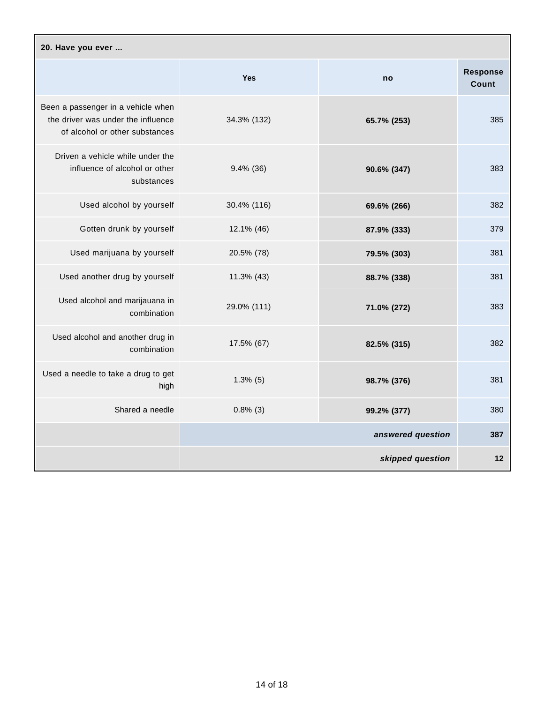| 20. Have you ever                                                                                          |              |                   |                          |  |
|------------------------------------------------------------------------------------------------------------|--------------|-------------------|--------------------------|--|
|                                                                                                            | <b>Yes</b>   | no                | <b>Response</b><br>Count |  |
| Been a passenger in a vehicle when<br>the driver was under the influence<br>of alcohol or other substances | 34.3% (132)  | 65.7% (253)       | 385                      |  |
| Driven a vehicle while under the<br>influence of alcohol or other<br>substances                            | $9.4\%$ (36) | 90.6% (347)       | 383                      |  |
| Used alcohol by yourself                                                                                   | 30.4% (116)  | 69.6% (266)       | 382                      |  |
| Gotten drunk by yourself                                                                                   | 12.1% (46)   | 87.9% (333)       | 379                      |  |
| Used marijuana by yourself                                                                                 | 20.5% (78)   | 79.5% (303)       | 381                      |  |
| Used another drug by yourself                                                                              | 11.3% (43)   | 88.7% (338)       | 381                      |  |
| Used alcohol and marijauana in<br>combination                                                              | 29.0% (111)  | 71.0% (272)       | 383                      |  |
| Used alcohol and another drug in<br>combination                                                            | 17.5% (67)   | 82.5% (315)       | 382                      |  |
| Used a needle to take a drug to get<br>high                                                                | $1.3\%$ (5)  | 98.7% (376)       | 381                      |  |
| Shared a needle                                                                                            | $0.8\%$ (3)  | 99.2% (377)       | 380                      |  |
|                                                                                                            |              | answered question | 387                      |  |
|                                                                                                            |              | skipped question  | 12                       |  |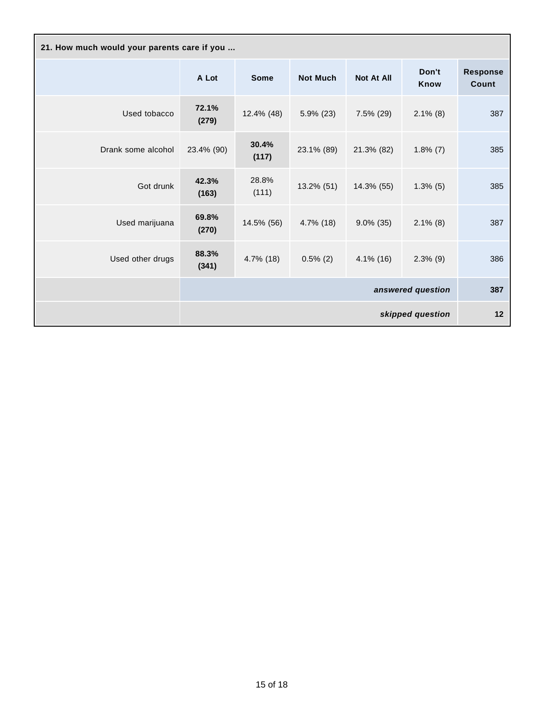| 21. How much would your parents care if you |                |                |                 |                   |                      |                          |
|---------------------------------------------|----------------|----------------|-----------------|-------------------|----------------------|--------------------------|
|                                             | A Lot          | <b>Some</b>    | <b>Not Much</b> | <b>Not At All</b> | Don't<br><b>Know</b> | <b>Response</b><br>Count |
| Used tobacco                                | 72.1%<br>(279) | 12.4% (48)     | $5.9\%$ (23)    | $7.5\%$ (29)      | $2.1\%$ (8)          | 387                      |
| Drank some alcohol                          | 23.4% (90)     | 30.4%<br>(117) | 23.1% (89)      | 21.3% (82)        | $1.8\%$ (7)          | 385                      |
| Got drunk                                   | 42.3%<br>(163) | 28.8%<br>(111) | $13.2\%$ (51)   | 14.3% (55)        | $1.3\%$ (5)          | 385                      |
| Used marijuana                              | 69.8%<br>(270) | 14.5% (56)     | $4.7\%$ (18)    | $9.0\%$ (35)      | $2.1\%$ (8)          | 387                      |
| Used other drugs                            | 88.3%<br>(341) | 4.7% (18)      | $0.5\%$ (2)     | $4.1\%$ (16)      | $2.3\%$ (9)          | 386                      |
|                                             |                |                |                 |                   | answered question    | 387                      |
|                                             |                |                |                 |                   | skipped question     | 12                       |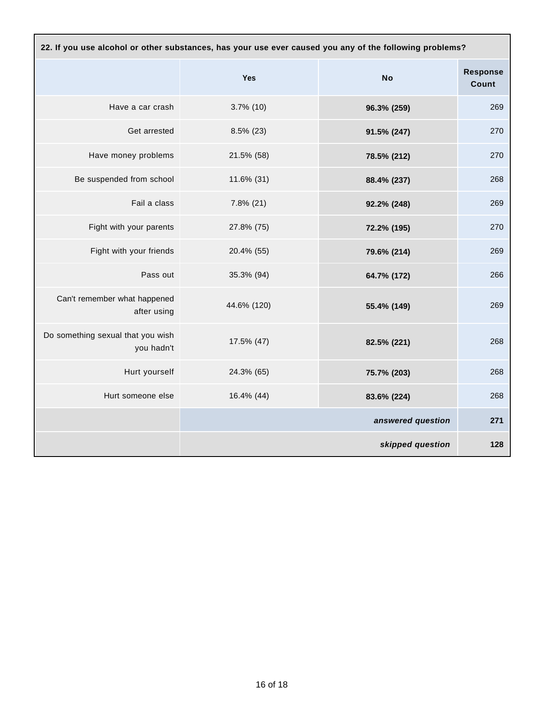| 22. If you use alcohol or other substances, has your use ever caused you any of the following problems? |              |                   |                          |
|---------------------------------------------------------------------------------------------------------|--------------|-------------------|--------------------------|
|                                                                                                         | Yes          | <b>No</b>         | <b>Response</b><br>Count |
| Have a car crash                                                                                        | $3.7\%$ (10) | 96.3% (259)       | 269                      |
| Get arrested                                                                                            | $8.5\%$ (23) | 91.5% (247)       | 270                      |
| Have money problems                                                                                     | 21.5% (58)   | 78.5% (212)       | 270                      |
| Be suspended from school                                                                                | 11.6% (31)   | 88.4% (237)       | 268                      |
| Fail a class                                                                                            | $7.8\%$ (21) | 92.2% (248)       | 269                      |
| Fight with your parents                                                                                 | 27.8% (75)   | 72.2% (195)       | 270                      |
| Fight with your friends                                                                                 | 20.4% (55)   | 79.6% (214)       | 269                      |
| Pass out                                                                                                | 35.3% (94)   | 64.7% (172)       | 266                      |
| Can't remember what happened<br>after using                                                             | 44.6% (120)  | 55.4% (149)       | 269                      |
| Do something sexual that you wish<br>you hadn't                                                         | 17.5% (47)   | 82.5% (221)       | 268                      |
| Hurt yourself                                                                                           | 24.3% (65)   | 75.7% (203)       | 268                      |
| Hurt someone else                                                                                       | 16.4% (44)   | 83.6% (224)       | 268                      |
|                                                                                                         |              | answered question | 271                      |
|                                                                                                         |              | skipped question  | 128                      |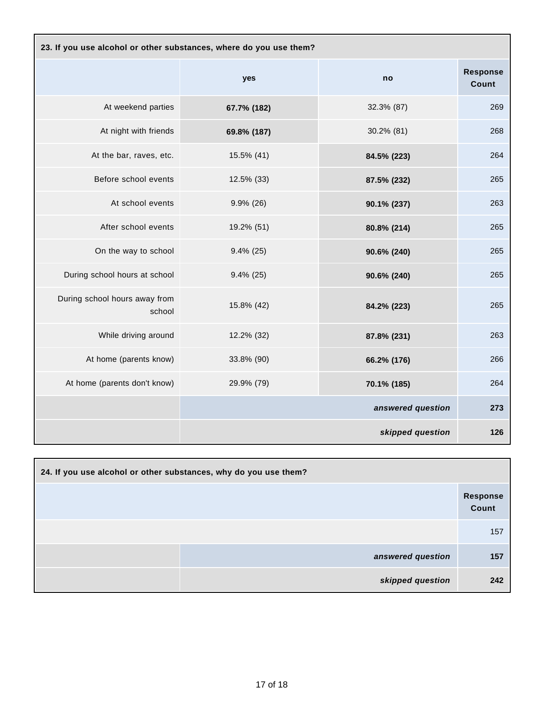| 23. If you use alcohol or other substances, where do you use them? |              |                   |                          |  |
|--------------------------------------------------------------------|--------------|-------------------|--------------------------|--|
|                                                                    | yes          | no                | <b>Response</b><br>Count |  |
| At weekend parties                                                 | 67.7% (182)  | 32.3% (87)        | 269                      |  |
| At night with friends                                              | 69.8% (187)  | 30.2% (81)        | 268                      |  |
| At the bar, raves, etc.                                            | 15.5% (41)   | 84.5% (223)       | 264                      |  |
| Before school events                                               | 12.5% (33)   | 87.5% (232)       | 265                      |  |
| At school events                                                   | $9.9\%$ (26) | 90.1% (237)       | 263                      |  |
| After school events                                                | 19.2% (51)   | 80.8% (214)       | 265                      |  |
| On the way to school                                               | $9.4\%$ (25) | 90.6% (240)       | 265                      |  |
| During school hours at school                                      | $9.4\%$ (25) | 90.6% (240)       | 265                      |  |
| During school hours away from<br>school                            | 15.8% (42)   | 84.2% (223)       | 265                      |  |
| While driving around                                               | 12.2% (32)   | 87.8% (231)       | 263                      |  |
| At home (parents know)                                             | 33.8% (90)   | 66.2% (176)       | 266                      |  |
| At home (parents don't know)                                       | 29.9% (79)   | 70.1% (185)       | 264                      |  |
|                                                                    |              | answered question | 273                      |  |
|                                                                    |              | skipped question  | 126                      |  |

| 24. If you use alcohol or other substances, why do you use them? |                   |                   |  |
|------------------------------------------------------------------|-------------------|-------------------|--|
|                                                                  |                   | Response<br>Count |  |
|                                                                  |                   | 157               |  |
|                                                                  | answered question | 157               |  |
|                                                                  | skipped question  | 242               |  |